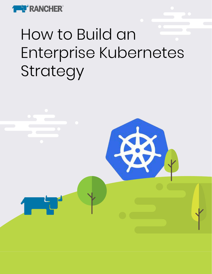

# How to Build an Enterprise Kubernetes Strategy

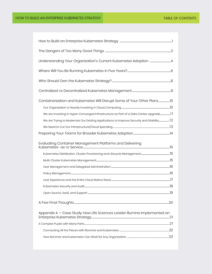| Containerization and Kubernetes Will Disrupt Some of Your Other Plans10                  |  |
|------------------------------------------------------------------------------------------|--|
|                                                                                          |  |
| We Are Investing in Hyper-Converged Infrastructure as Part of a Data Center Upgrade      |  |
| We Are Trying to Modernize Our Existing Applications to Improve Security and Stability12 |  |
|                                                                                          |  |
|                                                                                          |  |
|                                                                                          |  |
|                                                                                          |  |
|                                                                                          |  |
|                                                                                          |  |
|                                                                                          |  |
|                                                                                          |  |
|                                                                                          |  |
|                                                                                          |  |
|                                                                                          |  |
| Appendix A – Case Study: How Life Sciences Leader Illumina Implemented an                |  |
|                                                                                          |  |
|                                                                                          |  |
|                                                                                          |  |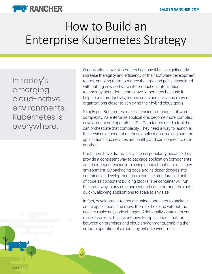

## How to Build an Enterprise Kubernetes Strategy

In today's emerging cloud-native environments, Kubernetes is everywhere.

Organizations love Kubernetes because it helps significantly increase the agility and efficiency of their software development teams, enabling them to reduce the time and perils associated with putting new software into production. Information technology operations teams love Kubernetes because it helps boost productivity, reduce costs and risks, and moves organizations closer to achieving their hybrid cloud goals.

Simply put, Kubernetes makes it easier to manage software complexity. As enterprise applications become more complex, development and operations (DevOps) teams need a tool that can orchestrate that complexity. They need a way to launch all the services dependent on these applications, making sure the applications and services are healthy and can connect to one another.

Containers have dramatically risen in popularity because they provide a consistent way to package application components and their dependencies into a single object that can run in any environment. By packaging code and its dependencies into containers, a development team can use standardized units of code as consistent building blocks. The container will run the same way in any environment and can start and terminate quickly, allowing applications to scale to any size.

In fact, development teams are using containers to package entire applications and move them to the cloud without the need to make any code changes. Additionally, containers can make it easier to build workflows for applications that run between on-premises and cloud environments, enabling the smooth operation of almost any hybrid environment.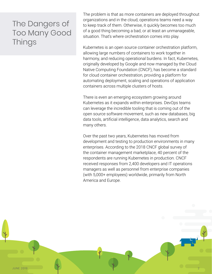### The Dangers of Too Many Good Things

The problem is that as more containers are deployed throughout organizations and in the cloud, operations teams need a way to keep track of them. Otherwise, it quickly becomes too much of a good thing becoming a bad, or at least an unmanageable, situation. That's where orchestration comes into play.

Kubernetes is an open source container orchestration platform, allowing large numbers of containers to work together in harmony, and reducing operational burdens. In fact, Kubernetes, originally developed by Google and now managed by the Cloud Native Computing Foundation (CNCF), has become a standard for cloud container orchestration, providing a platform for automating deployment, scaling and operations of application containers across multiple clusters of hosts.

There is even an emerging ecosystem growing around Kubernetes as it expands within enterprises. DevOps teams can leverage the incredible tooling that is coming out of the open source software movement, such as new databases, big data tools, artificial intelligence, data analytics, search and many others.

Over the past two years, Kubernetes has moved from development and testing to production environments in many enterprises. According to the 2018 CNCF global survey of the container management marketplace, 40 percent of the respondents are running Kubernetes in production. CNCF received responses from 2,400 developers and IT operations managers as well as personnel from enterprise companies (with 5,000+ employees) worldwide, primarily from North America and Europe.

JUNE 2019  $\qquad \qquad \qquad 2$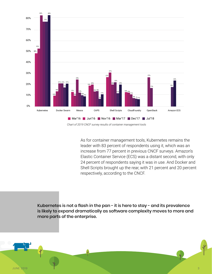

*Chart of 2019 CNCF survey results of container management tools*

As for container management tools, Kubernetes remains the leader with 83 percent of respondents using it, which was an increase from 77 percent in previous CNCF surveys. Amazon's Elastic Container Service (ECS) was a distant second, with only 24 percent of respondents saying it was in use. And Docker and Shell Scripts brought up the rear, with 21 percent and 20 percent respectively, according to the CNCF.

Kubernetes is not a flash in the pan - it is here to stay - and its prevalence is likely to expand dramatically as software complexity moves to more and more parts of the enterprise.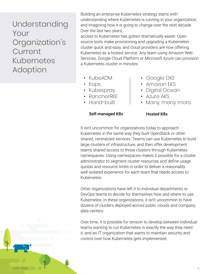Understanding Your Organization's **Current** Kubernetes Adoption

Building an enterprise Kubernetes strategy starts with understanding where Kubernetes is running in your organization, and imagining how it is going to change over the next decade. Over the last two years,

access to Kubernetes has gotten dramatically easier. Open source tools make provisioning and upgrading a Kubernetes cluster quick and easy, and cloud providers are now offering Kubernetes as a hosted service. Any team using Amazon Web Services, Google Cloud Platform or Microsoft Azure can provision a Kubernetes cluster in minutes.

- KubeADM
- Kops
- Kubespray
- RancherRKF
- Hand-built
- Google GKE
- Amazon EKS
- Digital Ocean
- Azure AKS
- Many, many more

#### Self-managed K8s Hosted K8s

It isn't uncommon for organizations today to approach Kubernetes in the same way they built OpenStack or other shared, centralized services. Teams can use Kubernetes to build large clusters of infrastructure, and then offer development teams shared access to those clusters through Kubernetes namespaces. Using namespaces makes it possible for a cluster administrator to segment cluster resources and define usage quotas and resource limits in order to deliver a reasonably well isolated experience for each team that needs access to Kubernetes.

Other organizations have left it to individual departments or DevOps teams to decide for themselves how and where to use Kubernetes. In these organizations, it isn't uncommon to have dozens of clusters deployed across public clouds and company data centers.

Over time, it is possible for tension to develop between individual teams wanting to run Kubernetes in exactly the way they need it, and an IT organization that wants to maintain security and control over how Kubernetes gets implemented.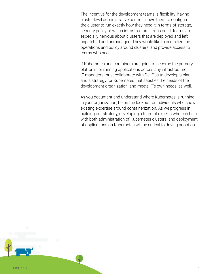The incentive for the development teams is flexibility: having cluster level administrative control allows them to configure the cluster to run exactly how they need it in terms of storage, security policy or which infrastructure it runs on. IT teams are especially nervous about clusters that are deployed and left unpatched and unmanaged. They would like to centralize the operations and policy around clusters, and provide access to teams who need it.

If Kubernetes and containers are going to become the primary platform for running applications across any infrastructure, IT managers must collaborate with DevOps to develop a plan and a strategy for Kubernetes that satisfies the needs of the development organization, and meets IT's own needs, as well.

As you document and understand where Kubernetes is running in your organization, be on the lookout for individuals who show existing expertise around containerization. As we progress in building our strategy, developing a team of experts who can help with both administration of Kubernetes clusters, and deployment of applications on Kubernetes will be critical to driving adoption.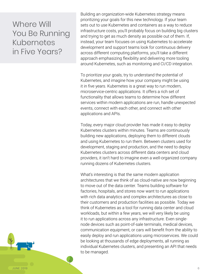#### Where Will You Be Running Kubernetes in Five Years?

Building an organization-wide Kubernetes strategy means prioritizing your goals for this new technology. If your team sets out to use Kubernetes and containers as a way to reduce infrastructure costs, you'll probably focus on building big clusters and trying to get as much density as possible out of them. If, instead, your team focuses on using Kubernetes to accelerate development and support teams look for continuous delivery across different computing platforms, you'll take a different approach emphasizing flexibility and delivering more tooling around Kubernetes, such as monitoring and CI/CD integration.

To prioritize your goals, try to understand the potential of Kubernetes, and imagine how your company might be using it in five years. Kubernetes is a great way to run modern, microservice-centric applications. It offers a rich set of functionality that allows teams to determine how different services within modern applications are run, handle unexpected events, connect with each other, and connect with other applications and APIs.

Today, every major cloud provider has made it easy to deploy Kubernetes clusters within minutes. Teams are continuously building new applications, deploying them to different clouds and using Kubernetes to run them. Between clusters used for development, staging and production, and the need to deploy Kubernetes clusters across different data centers and cloud providers, it isn't hard to imagine even a well-organized company running dozens of Kubernetes clusters.

What's interesting is that the same modern application architectures that we think of as cloud-native are now beginning to move out of the data center. Teams building software for factories, hospitals, and stores now want to run applications with rich data analytics and complex architectures as close to their customers and production facilities as possible. Today we think of Kubernetes as a tool for running data center and cloud workloads, but within a few years, we will very likely be using it to run applications across any infrastructure. Even singlenode devices such as point-of-sale terminals, medical devices, communication equipment, or cars will benefit from the ability to easily deploy and run applications using microservices. We could be looking at thousands of edge deployments, all running as individual Kubernetes clusters, and presenting an API that needs to be managed.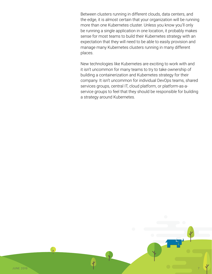Between clusters running in different clouds, data centers, and the edge, it is almost certain that your organization will be running more than one Kubernetes cluster. Unless you know you'll only be running a single application in one location, it probably makes sense for most teams to build their Kubernetes strategy with an expectation that they will need to be able to easily provision and manage many Kubernetes clusters running in many different places.

New technologies like Kubernetes are exciting to work with and it isn't uncommon for many teams to try to take ownership of building a containerization and Kubernetes strategy for their company. It isn't uncommon for individual DevOps teams, shared services groups, central IT, cloud platform, or platform-as-aservice groups to feel that they should be responsible for building a strategy around Kubernetes.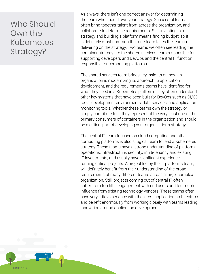### Who Should Own the Kubernetes Strategy?

As always, there isn't one correct answer for determining the team who should own your strategy. Successful teams often bring together talent from across the organization, and collaborate to determine requirements. Still, investing in a strategy and building a platform means finding budget, so it is definitely most common that one team takes the lead on delivering on the strategy. Two teams we often see leading the container strategy are the shared services team responsible for supporting developers and DevOps and the central IT function responsible for computing platforms.

The shared services team brings key insights on how an organization is modernizing its approach to application development, and the requirements teams have identified for what they need in a Kubernetes platform. They often understand other key systems that have been built for DevOps such as CI/CD tools, development environments, data services, and application monitoring tools. Whether these teams own the strategy or simply contribute to it, they represent at the very least one of the primary consumers of containers in the organization and should be a critical part of developing your organization's strategy.

The central IT team focused on cloud computing and other computing platforms is also a logical team to lead a Kubernetes strategy. These teams have a strong understanding of platform operations, infrastructure, security, multi-tenancy and existing IT investments, and usually have significant experience running critical projects. A project led by the IT platforms team, will definitely benefit from their understanding of the broad requirements of many different teams across a large, complex organization. Still, projects coming out of central IT often suffer from too little engagement with end users and too much influence from existing technology vendors. These teams often have very little experience with the latest application architectures and benefit enormously from working closely with teams leading innovation around application development.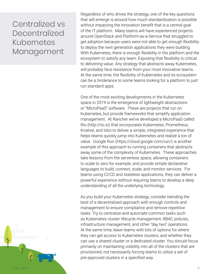#### Centralized vs Decentralized Kubernetes Management

Regardless of who drives the strategy, one of the key questions that will emerge is around how much standardization is possible without impacting the innovation benefit that is a central goal of the IT platform. Many teams will have experienced projects around OpenStack and Platform-as-a-Service that struggled to get adoption because users were not able to get enough flexibility to deploy the next generation applications they were building. With Kubernetes, there is enough flexibility in the platform and the ecosystem to satisfy any team. Exposing that flexibility is critical to delivering value. Any strategy that abstracts away Kubernetes, will probably face resistance from your most innovative teams. At the same time, the flexibility of Kubernetes and its ecosystem can be a hinderance to some teams looking for a platform to just run standard apps.

One of the most exciting developments in the Kubernetes space in 2019 is the emergence of lightweight abstractions or "MicroPaaS" software. These are projects that run on Kubernetes, but provide frameworks that simplify application management. At Rancher we've developed a MicroPaaS called Rio (http://rio.io) that incorporates Kubernetes, Prometheus, Knative, and Istio to deliver a simple, integrated experience that helps teams quickly jump into Kubernetes and realize a ton of value. Google Run (https://cloud.google.com/run/) is another example of this approach to running containers that abstracts away some of the complexity of Kubernetes. These approaches take lessons from the serverless space, allowing containers to scale to zero for example, and provide simple declarative languages to build, connect, scale, and monitor services. For teams using CI/CD and stateless applications, they can deliver a powerful experience without requiring teams to develop a deep understanding of all the underlying technology.

As you build your Kubernetes strategy, consider blending the best of a decentralized approach with enough controls and management to ensure compliance and remove repetitive tasks. Try to centralize and automate common tasks such as Kubernetes cluster lifecycle management, RBAC policies, infrastructure management, and other "day two" operations. At the same time, leave teams with lots of options for where they can get access to Kubernetes clusters, and whether they can use a shared cluster or a dedicated cluster. You should focus primarily on maintaining visibility into all of the clusters that are provisioned, not necessarily forcing teams to utilize a set of pre-approved clusters in a specified way.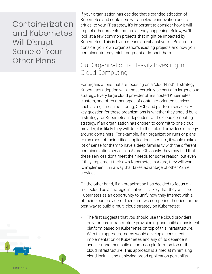Containerization and Kubernetes Will Disrupt Some of Your Other Plans

If your organization has decided that expanded adoption of Kubernetes and containers will accelerate innovation and is critical to your IT strategy, it's important to consider how it will impact other projects that are already happening. Below, we'll look at a few common projects that might be impacted by Kubernetes. This is by no means an exhaustive list. Be sure to consider your own organization's existing projects and how your container strategy might augment or impact them.

#### Our Organization is Heavily Investing in Cloud Computing

For organizations that are focusing on a "cloud-first" IT strategy, Kubernetes adoption will almost certainly be part of a larger cloud strategy. Every large cloud provider offers hosted Kubernetes clusters, and often other types of container-oriented services such as registries, monitoring, CI/CD, and platform services. A key question for these organizations is whether they should build a strategy for Kubernetes independent of the cloud computing strategy. If an organization has chosen to commit to one cloud provider, it is likely they will defer to their cloud provider's strategy around containers. For example, if an organization runs or plans to run most of their critical applications in Azure, it would make a lot of sense for them to have a deep familiarity with the different containerization services in Azure. Obviously, they may find that these services don't meet their needs for some reason, but even if they implement their own Kubernetes in Azure, they will want to implement it in a way that takes advantage of other Azure services.

On the other hand, if an organization has decided to focus on multi-cloud as a strategic initiative it is likely that they will see Kubernetes as an opportunity to unify how they interact with all of their cloud providers. There are two competing theories for the best way to build a multi-cloud strategy on Kubernetes:

The first suggests that you should use the cloud providers only for core infrastructure provisioning, and build a consistent platform based on Kubernetes on top of this infrastructure. With this approach, teams would develop a consistent implementation of Kubernetes and any of its dependent services, and then build a common platform on top of the cloud infrastructure. This approach is aimed at minimizing cloud lock-in, and achieving broad application portability.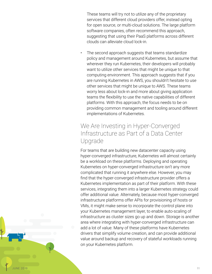These teams will try not to utilize any of the proprietary services that different cloud providers offer, instead opting for open source, or multi-cloud solutions. The large platform software companies, often recommend this approach, suggesting that using their PaaS platforms across different clouds can alleviate cloud lock-in.

The second approach suggests that teams standardize policy and management around Kubernetes, but assume that wherever they run Kubernetes, their developers will probably want to utilize other services that might be unique to that computing environment. This approach suggests that if you are running Kubernetes in AWS, you shouldn't hesitate to use other services that might be unique to AWS. These teams worry less about lock-in and more about giving application teams the flexibility to use the native capabilities of different platforms. With this approach, the focus needs to be on providing common management and tooling around different implementations of Kubernetes.

#### We Are Investing in Hyper-Converged Infrastructure as Part of a Data Center Upgrade

For teams that are building new datacenter capacity using hyper-converged infrastructure, Kubernetes will almost certainly be a workload on these platforms. Deploying and operating Kubernetes on hyper-converged infrastructure isn't any more complicated that running it anywhere else. However, you may find that the hyper-converged infrastructure provider offers a Kubernetes implementation as part of their platform. With these services, integrating them into a larger Kubernetes strategy could offer additional value. Alternately, because most hyper-converged infrastructure platforms offer APIs for provisioning of hosts or VMs, it might make sense to incorporate the control plane into your Kubernetes management layer, to enable auto-scaling of infrastructure as cluster sizes go up and down. Storage is another area where integrating with hyper-converged infrastructure can add a lot of value. Many of these platforms have Kubernetes drivers that simplify volume creation, and can provide additional value around backup and recovery of stateful workloads running on your Kubernetes platform.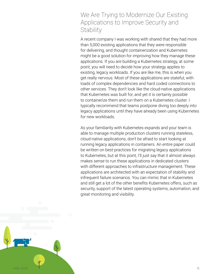#### We Are Trying to Modernize Our Existing Applications to Improve Security and **Stability**

A recent company I was working with shared that they had more than 5,000 existing applications that they were responsible for delivering, and thought containerization and Kubernetes might be a good solution for improving how they manage these applications. If you are building a Kubernetes strategy, at some point, you will need to decide how your strategy applies to existing, legacy workloads. If you are like me, this is when you get really nervous. Most of these applications are stateful, with loads of complex dependencies and hard coded connections to other services. They don't look like the cloud-native applications that Kubernetes was built for, and yet it is certainly possible to containerize them and run them on a Kubernetes cluster. I typically recommend that teams postpone diving too deeply into legacy applications until they have already been using Kubernetes for new workloads.

As your familiarity with Kubernetes expands and your team is able to manage multiple production clusters running stateless, cloud-native applications, don't be afraid to start looking at running legacy applications in containers. An entire paper could be written on best-practices for migrating legacy applications to Kubernetes, but at this point, I'll just say that it almost always makes sense to run these applications in dedicated clusters with different approaches to infrastructure management. These applications are architected with an expectation of stability and infrequent failure scenarios. You can mimic that in Kubernetes and still get a lot of the other benefits Kubernetes offers, such as security, support of the latest operating systems, automation, and great monitoring and visibility.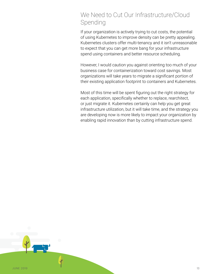#### We Need to Cut Our Infrastructure/Cloud Spending

If your organization is actively trying to cut costs, the potential of using Kubernetes to improve density can be pretty appealing. Kubernetes clusters offer multi-tenancy and it isn't unreasonable to expect that you can get more bang for your infrastructure spend using containers and better resource scheduling.

However, I would caution you against orienting too much of your business case for containerization toward cost savings. Most organizations will take years to migrate a significant portion of their existing application footprint to containers and Kubernetes.

Most of this time will be spent figuring out the right strategy for each application, specifically whether to replace, rearchitect, or just migrate it. Kubernetes certainly can help you get great infrastructure utilization, but it will take time, and the strategy you are developing now is more likely to impact your organization by enabling rapid innovation than by cutting infrastructure spend.

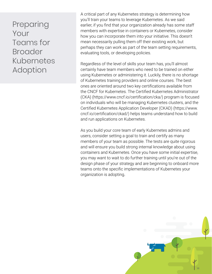Preparing Your Teams for **Broader** Kubernetes Adoption

A critical part of any Kubernetes strategy is determining how you'll train your teams to leverage Kubernetes. As we said earlier, if you find that your organization already has some staff members with expertise in containers or Kubernetes, consider how you can incorporate them into your initiative. This doesn't mean necessarily pulling them off their existing work, but perhaps they can work as part of the team setting requirements, evaluating tools, or developing policies.

Regardless of the level of skills your team has, you'll almost certainly have team members who need to be trained on either using Kubernetes or administering it. Luckily, there is no shortage of Kubernetes training providers and online courses. The best ones are oriented around two key certifications available from the CNCF for Kubernetes. The Certified Kubernetes Administrator (CKA) [\(https://www.cncf.io/certification/cka/](https://www.cncf.io/certification/cka/)) program is focused on individuals who will be managing Kubernetes clusters, and the Certified Kubernetes Application Developer (CKAD) (https://www. cncf.io/certification/ckad/) helps teams understand how to build and run applications on Kubernetes.

As you build your core team of early Kubernetes admins and users, consider setting a goal to train and certify as many members of your team as possible. The tests are quite rigorous and will ensure you build strong internal knowledge about using containers and Kubernetes. Once you have some initial expertise, you may want to wait to do further training until you're out of the design phase of your strategy and are beginning to onboard more teams onto the specific implementations of Kubernetes your organization is adopting.

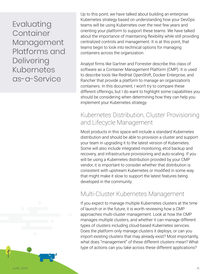Evaluating **Container** Management Platforms and Delivering Kubernetes as-a-Service

Up to this point, we have talked about building an enterprise Kubernetes strategy based on understanding how your DevOps teams will be using Kubernetes over the next few years and orienting your platform to support these teams. We have talked about the importance of maintaining flexibility while still providing centralized controls and management. It is at this point, that teams begin to look into technical options for managing containers across the organization.

Analyst firms like Gartner and Forrester describe this class of software as a Container Management Platform (CMP). It is used to describe tools like RedHat OpenShift, Docker Enterprise, and Rancher that provide a platform to manage an organization's containers. In this document, I won't try to compare these different offerings, but I do want to highlight some capabilities you should be considering when determining how they can help you implement your Kubernetes strategy.

#### Kubernetes Distribution, Cluster Provisioning and Lifecycle Management

Most products in this space will include a standard Kubernetes distribution and should be able to provision a cluster and support your team in upgrading it to the latest version of Kubernetes. Some will also include integrated monitoring, etcd backup and recovery, and infrastructure provisioning and auto-scaling. If you will be using a Kubernetes distribution provided by your CMP vendor, it is important to consider whether that distribution is consistent with upstream Kubernetes or modified in some way that might make it slow to support the latest features being developed in the community.

#### Multi-Cluster Kubernetes Management

If you expect to manage multiple Kubernetes clusters at the time of launch or in the future, it is worth reviewing how a CMP approaches multi-cluster management. Look at how the CMP manages multiple clusters, and whether it can manage different types of clusters including cloud-based Kubernetes services. Does the platform only manage clusters it deploys, or can you import existing clusters that may already exist? Most importantly, what does "management" of these different clusters mean? What type of actions can you take across these different applications?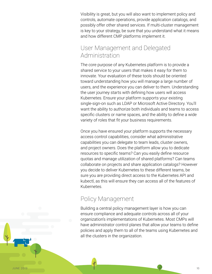Visibility is great, but you will also want to implement policy and controls, automate operations, provide application catalogs, and possibly offer other shared services. If multi-cluster management is key to your strategy, be sure that you understand what it means and how different CMP platforms implement it.

#### User Management and Delegated Administration

The core purpose of any Kubernetes platform is to provide a shared service to your users that makes it easy for them to innovate. Your evaluation of these tools should be oriented toward understanding how you will manage a large number of users, and the experience you can deliver to them. Understanding the user journey starts with defining how users will access Kubernetes. Ensure your platform supports your existing single-sign-on such as LDAP or Microsoft Active Directory. You'll want the ability to authorize both individuals and teams to access specific clusters or name spaces, and the ability to define a wide variety of roles that fit your business requirements.

Once you have ensured your platform supports the necessary access control capabilities, consider what administrative capabilities you can delegate to team leads, cluster owners, and project owners. Does the platform allow you to dedicate resources to specific teams? Can you easily define resource quotas and manage utilization of shared platforms? Can teams collaborate on projects and share application catalogs? However you decide to deliver Kubernetes to these different teams, be sure you are providing direct access to the Kubernetes API and kubectl, as this will ensure they can access all of the features of Kubernetes.

#### Policy Management

Building a central policy management layer is how you can ensure compliance and adequate controls across all of your organization's implementations of Kubernetes. Most CMPs will have administrator control planes that allow your teams to define policies and apply them to all of the teams using Kubernetes and all the clusters in the organization.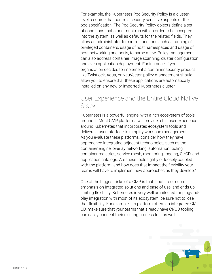For example, the Kubernetes Pod Security Policy is a clusterlevel resource that controls security sensitive aspects of the pod specification. The Pod Security Policy objects define a set of conditions that a pod must run with in order to be accepted into the system, as well as defaults for the related fields. They allow an administrator to control functions such as running of privileged containers, usage of host namespaces and usage of host networking and ports, to name a few. Policy management can also address container image scanning, cluster configuration, and even application deployment. For instance, if your organization decides to implement a container security product like Twistlock, Aqua, or NeuVector, policy management should allow you to ensure that these applications are automatically installed on any new or imported Kubernetes cluster.

#### User Experience and the Entire Cloud Native **Stack**

Kubernetes is a powerful engine, with a rich ecosystem of tools around it. Most CMP platforms will provide a full user experience around Kubernetes that incorporates ecosystem tools and delivers a user interface to simplify workload management. As you evaluate these platforms, consider how they have approached integrating adjacent technologies, such as the container engine, overlay networking, automation tooling, container registries, service mesh, monitoring, logging, CI/CD, and application catalogs. Are these tools tightly or loosely coupled with the platform, and how does that impact the flexibility your teams will have to implement new approaches as they develop?

One of the biggest risks of a CMP is that it puts too much emphasis on integrated solutions and ease of use, and ends up limiting flexibility. Kubernetes is very well architected for plug-andplay integration with most of its ecosystem, be sure not to lose that flexibility. For example, if a platform offers an integrated CI/ CD, make sure that your teams that already have CI/CD tooling can easily connect their existing process to it as well.

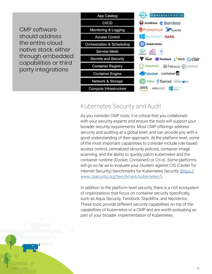CMP software should address the entire cloud native stack, either through embedded capabilities or third party integrations



#### Kubernetes Security and Audit

As you consider CMP tools, it is critical that you collaborate with your security experts and ensure the tools will support your broader security requirements. Most CMP offerings address security and auditing at a global level, and can provide you with a good understanding of their approach. At the platform level, some of the most important capabilities to consider include role-based access control, centralized security policies, container image scanning, and the ability to quickly patch Kubernetes and the container runtime (Docker, ContainerD or Cri-o). Some platforms will go so far as to evaluate your clusters against CIS (Center for Internet Security) benchmarks for Kubernetes Security [\(https://](https://www.cisecurity.org/benchmark/kubernetes/) [www.cisecurity.org/benchmark/kubernetes/\)](https://www.cisecurity.org/benchmark/kubernetes/).

In addition to the platform level security, there is a rich ecosystem of organizations that focus on container security specifically, such as Aqua Security, Twistlock, StackRox, and NeuVector. These tools provide different security capabilities on top of the capabilities of Kubernetes or a CMP and are worth evaluating as part of your broader implementation of Kubernetes.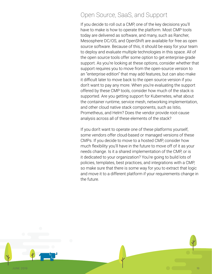#### Open Source, SaaS, and Support

If you decide to roll out a CMP, one of the key decisions you'll have to make is how to operate the platform. Most CMP tools today are delivered as software, and many, such as Rancher, Mesosphere DC/OS, and OpenShift are available for free as open source software. Because of this, it should be easy for your team to deploy and evaluate multiple technologies in this space. All of the open source tools offer some option to get enterprise-grade support. As you're looking at these options, consider whether that support requires you to move from the open-source version to an "enterprise edition" that may add features, but can also make it difficult later to move back to the open source version if you don't want to pay any more. When you're evaluating the support offered by these CMP tools, consider how much of the stack is supported. Are you getting support for Kubernetes, what about the container runtime, service mesh, networking implementation, and other cloud native stack components, such as Istio, Prometheus, and Helm? Does the vendor provide root-cause analysis across all of these elements of the stack?

If you don't want to operate one of these platforms yourself, some vendors offer cloud-based or managed versions of these CMPs. If you decide to move to a hosted CMP, consider how much flexibility you'll have in the future to move off of it as your needs change. Is it a shared implementation of the CMP, or is it dedicated to your organization? You're going to build lots of policies, templates, best practices, and integrations with a CMP, so make sure that there is some way for you to extract that logic and move it to a different platform if your requirements change in the future.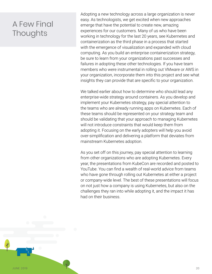### A Few Final **Thoughts**

Adopting a new technology across a large organization is never easy. As technologists, we get excited when new approaches emerge that have the potential to create new, amazing experiences for our customers. Many of us who have been working in technology for the last 20 years, see Kubernetes and containerization as the third phase in a process that started with the emergence of visualization and expanded with cloud computing. As you build an enterprise containerization strategy, be sure to learn from your organizations past successes and failures in adopting these other technologies. If you have team members who were instrumental in rolling out VMware or AWS in your organization, incorporate them into this project and see what insights they can provide that are specific to your organization.

We talked earlier about how to determine who should lead any enterprise-wide strategy around containers. As you develop and implement your Kubernetes strategy, pay special attention to the teams who are already running apps on Kubernetes. Each of these teams should be represented on your strategy team and should be validating that your approach to managing Kubernetes will not introduce constraints that would keep them from adopting it. Focusing on the early adopters will help you avoid over-simplification and delivering a platform that deviates from mainstream Kubernetes adoption.

As you set off on this journey, pay special attention to learning from other organizations who are adopting Kubernetes. Every year, the presentations from KubeCon are recorded and posted to YouTube. You can find a wealth of real-world advice from teams who have gone through rolling out Kubernetes at either a project or company-wide level. The best of these presentations will focus on not just how a company is using Kubernetes, but also on the challenges they ran into while adopting it, and the impact it has had on their business.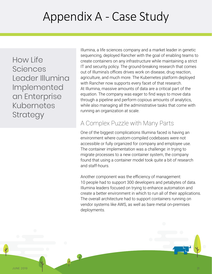## Appendix A - Case Study

How Life Sciences Leader Illumina Implemented an Enterprise Kubernetes **Strategy** 

Illumina, a life sciences company and a market leader in genetic sequencing, deployed Rancher with the goal of enabling teams to create containers on any infrastructure while maintaining a strict IT and security policy. The ground-breaking research that comes out of Illumina's offices drives work on disease, drug reaction, agriculture, and much more. The Kubernetes platform deployed with Rancher now supports every facet of that research. At Illumina, massive amounts of data are a critical part of the equation. The company was eager to find ways to move data through a pipeline and perform copious amounts of analytics, while also managing all the administrative tasks that come with running an organization at scale.

#### A Complex Puzzle with Many Parts

One of the biggest complications Illumina faced is having an environment where custom-compiled codebases were not accessible or fully organized for company and employee use. The container implementation was a challenge: in trying to migrate processes to a new container system, the company found that using a container model took quite a bit of research and staff-hours.

Another component was the efficiency of management: 10 people had to support 300 developers and petabytes of data. Illumina leaders focused on trying to enhance automation and create a better environment in which to run all of their applications. The overall architecture had to support containers running on vendor systems like AWS, as well as bare metal on-premises deployments.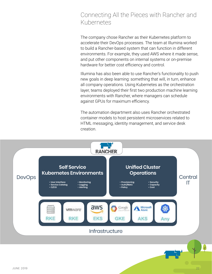#### Connecting All the Pieces with Rancher and Kubernetes

The company chose Rancher as their Kubernetes platform to accelerate their DevOps processes. The team at Illumina worked to build a Rancher-based system that can function in different environments. For example, they used AWS where it made sense, and put other components on internal systems or on-premise hardware for better cost efficiency and control.

Illumina has also been able to use Rancher's functionality to push new goals in deep learning: something that will, in turn, enhance all company operations. Using Kubernetes as the orchestration layer, teams deployed their first two production machine learning environments with Rancher, where managers can schedule against GPUs for maximum efficiency.

The automation department also uses Rancher orchestrated container models to host persistent microservices related to HTML messaging, identity management, and service desk creation.

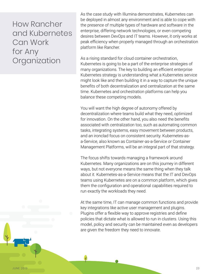#### How Rancher and Kubernetes Can Work for Any **Organization**

As the case study with Illumina demonstrates, Kubernetes can be deployed in almost any environment and is able to cope with the presence of multiple types of hardware and software in the enterprise, differing network technologies, or even competing desires between DevOps and IT teams. However, it only works at peak efficiency when properly managed through an orchestration platform like Rancher.

As a rising standard for cloud container orchestration, Kubernetes is going to be a part of the enterprise strategies of many organizations. The key to building an efficient enterprise Kubernetes strategy is understanding what a Kubernetes service might look like and then building it in a way to capture the unique benefits of both decentralization and centralization at the same time. Kubernetes and orchestration platforms can help you balance these competing models.

You will want the high degree of autonomy offered by decentralization where teams build what they need, optimized for innovation. On the other hand, you also need the benefits associated with centralization too, such as automating common tasks, integrating systems, easy movement between products, and an ironclad focus on consistent security. Kubernetes-asa-Service, also known as Container-as-a-Service or Container Management Platforms, will be an integral part of that strategy.

The focus shifts towards managing a framework around Kubernetes. Many organizations are on this journey in different ways, but not everyone means the same thing when they talk about it. Kubernetes-as-a-Service means that the IT and DevOps teams using Kubernetes are on a common platform, which gives them the configuration and operational capabilities required to run exactly the workloads they need.

At the same time, IT can manage common functions and provide key integrations like active user management and plugins. Plugins offer a flexible way to approve registries and define policies that dictate what is allowed to run in clusters. Using this model, policy and security can be maintained even as developers are given the freedom they need to innovate.